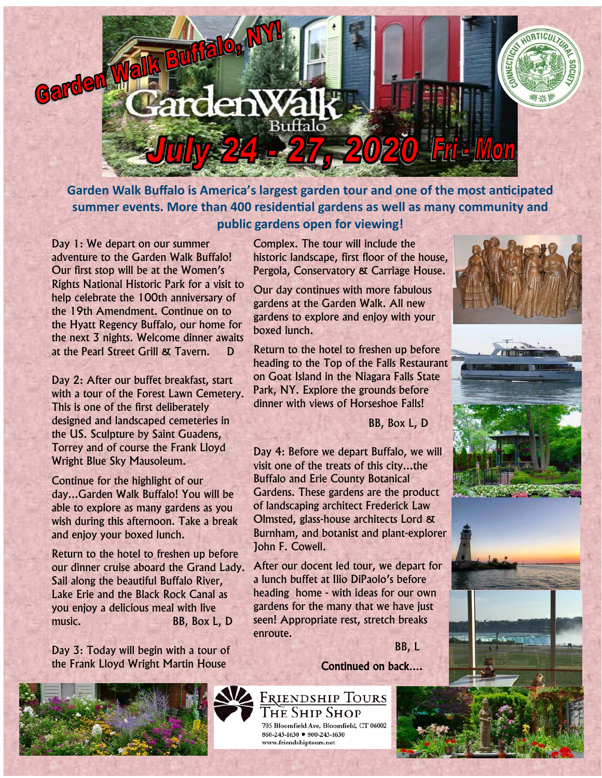

**Garden Walk Buffalo is America's largest garden tour and one of the most anticipated summer events. More than 400 residential gardens as well as many community and public gardens open for viewing!** 

Day 1: We depart on our summer adventure to the Garden Walk Buffalo! Our first stop will be at the Women's Rights National Historic Park for a visit to help celebrate the 100th anniversary of the 19th Amendment. Continue on to the Hyatt Regency Buffalo, our home for the next 3 nights. Welcome dinner awaits at the Pearl Street Grill & Tavern. D

Day 2: After our buffet breakfast, start with a tour of the Forest Lawn Cemetery. This is one of the first deliberately designed and landscaped cemeteries in the US. Sculpture by Saint Guadens, Torrey and of course the Frank Lloyd Wright Blue Sky Mausoleum.

Continue for the highlight of our day...Garden Walk Buffalo! You will be able to explore as many gardens as you wish during this afternoon. Take a break and enjoy your boxed lunch.

Return to the hotel to freshen up before our dinner cruise aboard the Grand Lady. Sail along the beautiful Buffalo River, Lake Erie and the Black Rock Canal as you enjoy a delicious meal with live music. BB, Box L, D

Day 3: Today will begin with a tour of the Frank Lloyd Wright Martin House



Complex. The tour will include the historic landscape, first floor of the house, Pergola, Conservatory & Carriage House.

Our day continues with more fabulous gardens at the Garden Walk. All new gardens to explore and enjoy with your boxed lunch.

Return to the hotel to freshen up before heading to the Top of the Falls Restaurant on Goat Island in the Niagara Falls State Park, NY. Explore the grounds before dinner with views of Horseshoe Falls!

BB, Box L, D

Day 4: Before we depart Buffalo, we will visit one of the treats of this city...the Buffalo and Erie County Botanical Gardens. These gardens are the product of landscaping architect Frederick Law Olmsted, glass-house architects Lord & Burnham, and botanist and plant-explorer John F. Cowell.

After our docent led tour, we depart for a lunch buffet at Ilio DiPaolo's before heading home - with ideas for our own gardens for the many that we have just seen! Appropriate rest, stretch breaks enroute.

BB, L





 $860 - 243 - 1630$  •  $800 - 243 - 1630$ www.friendshiptours.net